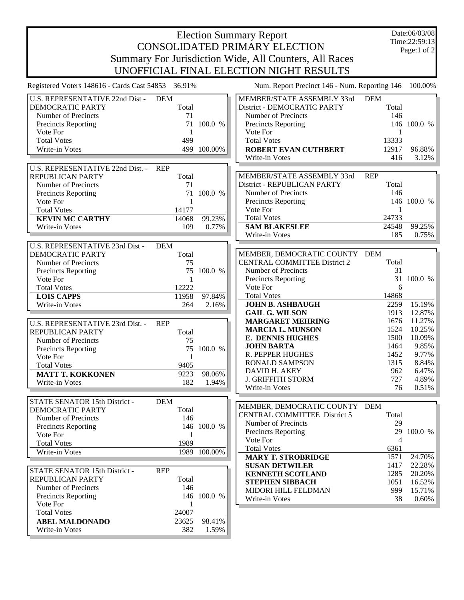## Election Summary Report CONSOLIDATED PRIMARY ELECTION Summary For Jurisdiction Wide, All Counters, All Races UNOFFICIAL FINAL ELECTION NIGHT RESULTS

Date:06/03/08 Time:22:59:13 Page:1 of 2

| Registered Voters 148616 - Cards Cast 54853 36.91% |              |              | Num. Report Precinct 146 - Num. Reporting 146 100.00% |                |             |
|----------------------------------------------------|--------------|--------------|-------------------------------------------------------|----------------|-------------|
| U.S. REPRESENTATIVE 22nd Dist -                    | <b>DEM</b>   |              | MEMBER/STATE ASSEMBLY 33rd                            | <b>DEM</b>     |             |
| DEMOCRATIC PARTY                                   | Total        |              | District - DEMOCRATIC PARTY                           | Total          |             |
| Number of Precincts                                | 71           |              | Number of Precincts                                   | 146            |             |
| Precincts Reporting                                | 71           | 100.0 %      | <b>Precincts Reporting</b>                            |                | 146 100.0 % |
| Vote For                                           | 1            |              | Vote For                                              | 1              |             |
| <b>Total Votes</b>                                 | 499          |              | <b>Total Votes</b>                                    | 13333          |             |
| Write-in Votes                                     |              | 499 100.00%  | <b>ROBERT EVAN CUTHBERT</b>                           | 12917          | 96.88%      |
|                                                    |              |              | Write-in Votes                                        | 416            | 3.12%       |
| U.S. REPRESENTATIVE 22nd Dist. -                   | <b>REP</b>   |              |                                                       |                |             |
| REPUBLICAN PARTY                                   | Total        |              | MEMBER/STATE ASSEMBLY 33rd                            | <b>REP</b>     |             |
| Number of Precincts                                | 71           |              | District - REPUBLICAN PARTY                           | Total          |             |
| <b>Precincts Reporting</b>                         | 71           | 100.0 %      | Number of Precincts                                   | 146            |             |
| Vote For                                           | 1            |              | Precincts Reporting                                   |                | 146 100.0 % |
| <b>Total Votes</b>                                 | 14177        |              | Vote For                                              | 1              |             |
| <b>KEVIN MC CARTHY</b>                             | 14068        | 99.23%       | <b>Total Votes</b>                                    | 24733          |             |
| Write-in Votes                                     | 109          | 0.77%        | <b>SAM BLAKESLEE</b>                                  | 24548          | 99.25%      |
|                                                    |              |              | Write-in Votes                                        | 185            | 0.75%       |
|                                                    |              |              |                                                       |                |             |
| U.S. REPRESENTATIVE 23rd Dist -                    | <b>DEM</b>   |              |                                                       |                |             |
| <b>DEMOCRATIC PARTY</b>                            | Total        |              | MEMBER, DEMOCRATIC COUNTY DEM                         |                |             |
| Number of Precincts                                | 75           |              | <b>CENTRAL COMMITTEE District 2</b>                   | Total          |             |
| <b>Precincts Reporting</b>                         | 75           | 100.0 %      | Number of Precincts                                   | 31             |             |
| Vote For                                           | $\mathbf{1}$ |              | Precincts Reporting                                   | 31             | 100.0 %     |
| <b>Total Votes</b>                                 | 12222        |              | Vote For                                              | 6              |             |
| <b>LOIS CAPPS</b>                                  | 11958        | 97.84%       | <b>Total Votes</b>                                    | 14868          |             |
| Write-in Votes                                     | 264          | 2.16%        | <b>JOHN B. ASHBAUGH</b>                               | 2259           | 15.19%      |
|                                                    |              |              | <b>GAIL G. WILSON</b>                                 | 1913           | 12.87%      |
| U.S. REPRESENTATIVE 23rd Dist. -                   | <b>REP</b>   |              | <b>MARGARET MEHRING</b>                               | 1676           | 11.27%      |
| <b>REPUBLICAN PARTY</b>                            | Total        |              | <b>MARCIA L. MUNSON</b>                               | 1524           | 10.25%      |
| Number of Precincts                                | 75           |              | <b>E. DENNIS HUGHES</b>                               | 1500           | 10.09%      |
| Precincts Reporting                                | 75           | 100.0 %      | <b>JOHN BARTA</b>                                     | 1464           | 9.85%       |
| Vote For                                           | $\mathbf{1}$ |              | R. PEPPER HUGHES                                      | 1452           | 9.77%       |
| <b>Total Votes</b>                                 | 9405         |              | <b>RONALD SAMPSON</b>                                 | 1315           | 8.84%       |
| <b>MATT T. KOKKONEN</b>                            | 9223         | 98.06%       | DAVID H. AKEY                                         | 962            | 6.47%       |
| Write-in Votes                                     | 182          | 1.94%        | <b>J. GRIFFITH STORM</b>                              | 727            | 4.89%       |
|                                                    |              |              | Write-in Votes                                        | 76             | 0.51%       |
| STATE SENATOR 15th District -                      | <b>DEM</b>   |              |                                                       |                |             |
| <b>DEMOCRATIC PARTY</b>                            | Total        |              | MEMBER, DEMOCRATIC COUNTY DEM                         |                |             |
| Number of Precincts                                | 146          |              | <b>CENTRAL COMMITTEE District 5</b>                   | Total          |             |
|                                                    |              |              | Number of Precincts                                   | 29             |             |
| Precincts Reporting                                |              | 146 100.0 %  | <b>Precincts Reporting</b>                            |                | 29 100.0 %  |
| Vote For                                           | 1            |              | Vote For                                              | $\overline{4}$ |             |
| <b>Total Votes</b>                                 | 1989         |              | <b>Total Votes</b>                                    | 6361           |             |
| Write-in Votes                                     |              | 1989 100.00% | <b>MARY T. STROBRIDGE</b>                             | 1571           | 24.70%      |
|                                                    |              |              | <b>SUSAN DETWILER</b>                                 | 1417           | 22.28%      |
| STATE SENATOR 15th District -                      | <b>REP</b>   |              | <b>KENNETH SCOTLAND</b>                               | 1285           | 20.20%      |
| <b>REPUBLICAN PARTY</b>                            | Total        |              | <b>STEPHEN SIBBACH</b>                                | 1051           | 16.52%      |
| Number of Precincts                                | 146          |              | MIDORI HILL FELDMAN                                   | 999            | 15.71%      |
| Precincts Reporting                                |              | 146 100.0 %  | Write-in Votes                                        | 38             | 0.60%       |
| Vote For                                           | 1            |              |                                                       |                |             |
| <b>Total Votes</b>                                 | 24007        |              |                                                       |                |             |
| <b>ABEL MALDONADO</b>                              | 23625        | 98.41%       |                                                       |                |             |
| Write-in Votes                                     | 382          | 1.59%        |                                                       |                |             |